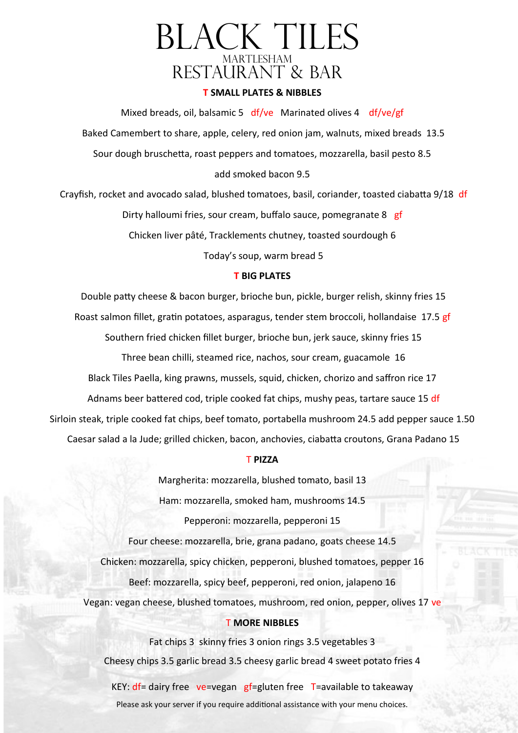## Black Tiles MARTLESHAM RESTAURANT & BAR

### **T SMALL PLATES & NIBBLES**

Mixed breads, oil, balsamic 5 df/ve Marinated olives 4 df/ve/gf Baked Camembert to share, apple, celery, red onion jam, walnuts, mixed breads 13.5 Sour dough bruschetta, roast peppers and tomatoes, mozzarella, basil pesto 8.5 add smoked bacon 9.5

Crayfish, rocket and avocado salad, blushed tomatoes, basil, coriander, toasted ciabatta 9/18 df Dirty halloumi fries, sour cream, buffalo sauce, pomegranate 8 gf Chicken liver pâté, Tracklements chutney, toasted sourdough 6 Today's soup, warm bread 5

#### **T BIG PLATES**

Double patty cheese & bacon burger, brioche bun, pickle, burger relish, skinny fries 15 Roast salmon fillet, gratin potatoes, asparagus, tender stem broccoli, hollandaise 17.5 gf Southern fried chicken fillet burger, brioche bun, jerk sauce, skinny fries 15 Three bean chilli, steamed rice, nachos, sour cream, guacamole 16 Black Tiles Paella, king prawns, mussels, squid, chicken, chorizo and saffron rice 17 Adnams beer battered cod, triple cooked fat chips, mushy peas, tartare sauce 15 df Sirloin steak, triple cooked fat chips, beef tomato, portabella mushroom 24.5 add pepper sauce 1.50 Caesar salad a la Jude; grilled chicken, bacon, anchovies, ciabatta croutons, Grana Padano 15

#### T **PIZZA**

Margherita: mozzarella, blushed tomato, basil 13 Ham: mozzarella, smoked ham, mushrooms 14.5 Pepperoni: mozzarella, pepperoni 15

Four cheese: mozzarella, brie, grana padano, goats cheese 14.5 Chicken: mozzarella, spicy chicken, pepperoni, blushed tomatoes, pepper 16 Beef: mozzarella, spicy beef, pepperoni, red onion, jalapeno 16 Vegan: vegan cheese, blushed tomatoes, mushroom, red onion, pepper, olives 17 ve

#### T **MORE NIBBLES**

Fat chips 3 skinny fries 3 onion rings 3.5 vegetables 3 Cheesy chips 3.5 garlic bread 3.5 cheesy garlic bread 4 sweet potato fries 4 KEY:  $df =$  dairy free ve=vegan gf=gluten free T=available to takeaway Please ask your server if you require additional assistance with your menu choices.